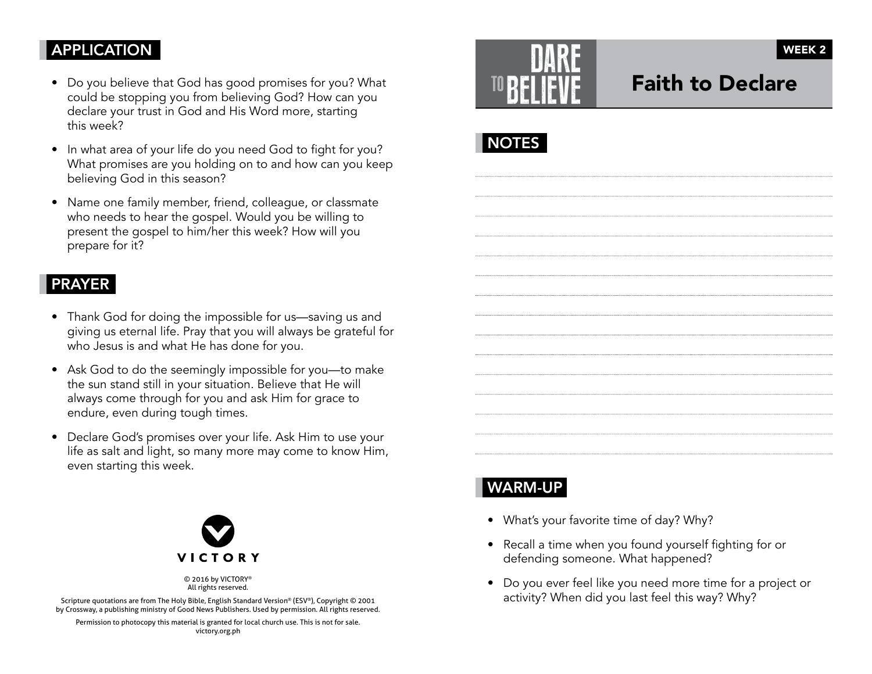## APPLICATION

- Do you believe that God has good promises for you? What could be stopping you from believing God? How can you declare your trust in God and His Word more, starting this week?
- In what area of your life do you need God to fight for you? What promises are you holding on to and how can you keep believing God in this season?
- Name one family member, friend, colleague, or classmate who needs to hear the gospel. Would you be willing to present the gospel to him/her this week? How will you prepare for it?

#### PRAYER

- Thank God for doing the impossible for us—saving us and giving us eternal life. Pray that you will always be grateful for who Jesus is and what He has done for you.
- Ask God to do the seemingly impossible for you—to make the sun stand still in your situation. Believe that He will always come through for you and ask Him for grace to endure, even during tough times.
- Declare God's promises over your life. Ask Him to use your life as salt and light, so many more may come to know Him, even starting this week.



© 2016 by VICTORY® All rights reserved.

Scripture quotations are from The Holy Bible, English Standard Version® (ESV®), Copyright © 2001 by Crossway, a publishing ministry of Good News Publishers. Used by permission. All rights reserved.

Permission to photocopy this material is granted for local church use. This is not for sale. victory.org.ph



# Faith to Declare



# WARM-UP

- What's your favorite time of day? Why?
- Recall a time when you found yourself fighting for or defending someone. What happened?
- Do you ever feel like you need more time for a project or activity? When did you last feel this way? Why?

WEEK 2